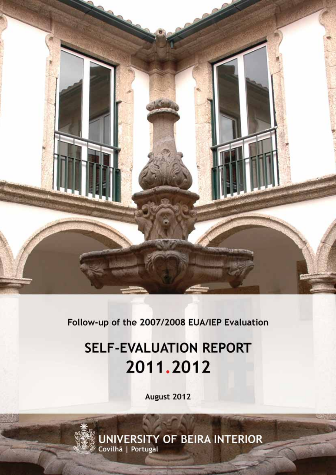

Follow-up of the 2007/2008 EUA/IEP Evaluation

# **SELF-EVALUATION REPORT** 2011.2012

August 2012

**UNIVERSITY OF BEIRA INTERIOR**<br>Covilhã | Portugal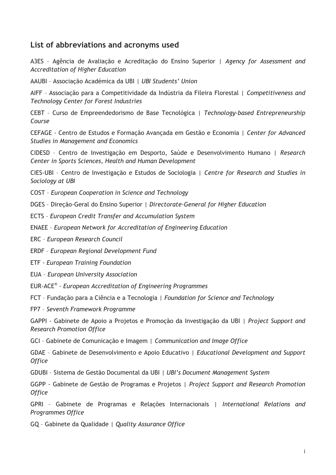## **List of abbreviations and acronyms used**

A3ES – Agência de Avaliação e Acreditação do Ensino Superior | *Agency for Assessment and Accreditation of Higher Education* 

AAUBI – Associação Académica da UBI | *UBI Students' Union* 

AIFF – Associação para a Competitividade da Indústria da Fileira Florestal | *Competitiveness and Technology Center for Forest Industries*

CEBT – Curso de Empreendedorismo de Base Tecnológica | *Technology-based Entrepreneurship Course*

CEFAGE - Centro de Estudos e Formação Avançada em Gestão e Economia | *Center for Advanced Studies in Management and Economics*

CIDESD – Centro de Investigação em Desporto, Saúde e Desenvolvimento Humano | *Research Center in Sports Sciences, Health and Human Development*

CIES-UBI – Centro de Investigação e Estudos de Sociologia | *Centre for Research and Studies in Sociology at UBI*

COST – *European Cooperation in Science and Technology*

DGES – Direção-Geral do Ensino Superior | *Directorate-General for Higher Education* 

ECTS – *European Credit Transfer and Accumulation System*

ENAEE – *European Network for Accreditation of Engineering Education*

ERC – *European Research Council*

ERDF – *European Regional Development Fund*

ETF - *European Training Foundation*

EUA – *European University Association* 

EUR-ACE® - *European Accreditation of Engineering Programmes*

FCT – Fundação para a Ciência e a Tecnologia | *Foundation for Science and Technology* 

FP7 – *Seventh Framework Programme*

GAPPI - Gabinete de Apoio a Projetos e Promoção da Investigação da UBI | *Project Support and Research Promotion Office* 

GCI – Gabinete de Comunicação e Imagem | *Communication and Image Office* 

GDAE – Gabinete de Desenvolvimento e Apoio Educativo | *Educational Development and Support Office* 

GDUBI – Sistema de Gestão Documental da UBI | *UBI's Document Management System*

GGPP - Gabinete de Gestão de Programas e Projetos | *Project Support and Research Promotion Office*

GPRI – Gabinete de Programas e Relações Internacionais | *International Relations and Programmes Office* 

GQ – Gabinete da Qualidade | *Quality Assurance Office*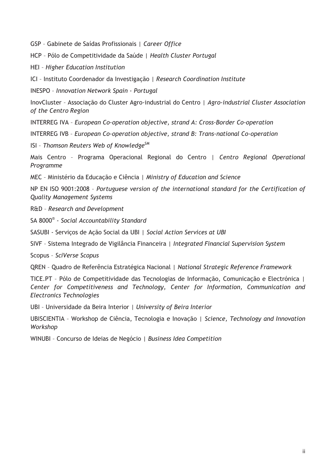GSP – Gabinete de Saídas Profissionais | *Career Office* 

HCP – Pólo de Competitividade da Saúde | *Health Cluster Portugal* 

HEI – *Higher Education Institution*

ICI – Instituto Coordenador da Investigação | *Research Coordination Institute* 

INESPO – *Innovation Network Spain - Portugal*

InovCluster – Associação do Cluster Agro-industrial do Centro | *Agro-industrial Cluster Association of the Centro Region*

INTERREG IVA – *European Co-operation objective, strand A: Cross-Border Co-operation*

INTERREG IVB – *European Co-operation objective, strand B: Trans-national Co-operation*

ISI – *Thomson Reuters Web of KnowledgeSM*

Mais Centro – Programa Operacional Regional do Centro | *Centro Regional Operational Programme* 

MEC – Ministério da Educação e Ciência | *Ministry of Education and Science*

NP EN ISO 9001:2008 – *Portuguese version of the international standard for the Certification of Quality Management Systems* 

R&D – *Research and Development*

SA 8000® - *Social Accountability Standard*

SASUBI - Serviços de Ação Social da UBI | *Social Action Services at UBI* 

SIVF – Sistema Integrado de Vigilância Financeira | *Integrated Financial Supervision System*

Scopus – *SciVerse Scopus* 

QREN – Quadro de Referência Estratégica Nacional | *National Strategic Reference Framework*

TICE.PT – Pólo de Competitividade das Tecnologias de Informação, Comunicação e Electrónica | *Center for Competitiveness and Technology, Center for Information, Communication and Electronics Technologies*

UBI – Universidade da Beira Interior | *University of Beira Interior* 

UBISCIENTIA – Workshop de Ciência, Tecnologia e Inovação | *Science, Technology and Innovation Workshop* 

WINUBI – Concurso de Ideias de Negócio | *Business Idea Competition*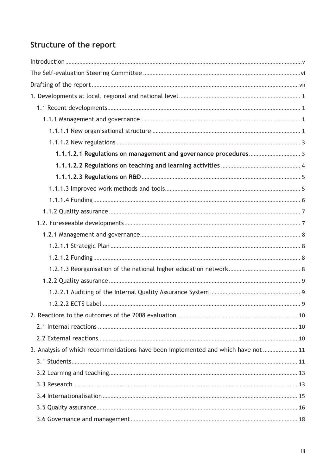## Structure of the report

| 3. Analysis of which recommendations have been implemented and which have not  11 |  |
|-----------------------------------------------------------------------------------|--|
|                                                                                   |  |
|                                                                                   |  |
|                                                                                   |  |
|                                                                                   |  |
|                                                                                   |  |
|                                                                                   |  |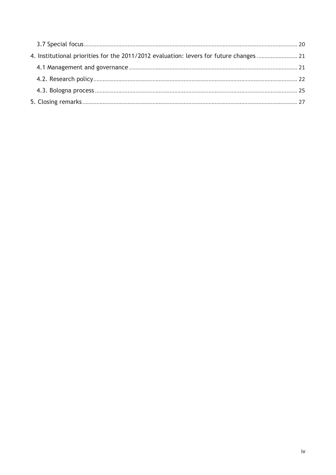| 4. Institutional priorities for the 2011/2012 evaluation: levers for future changes  21 |  |
|-----------------------------------------------------------------------------------------|--|
|                                                                                         |  |
|                                                                                         |  |
|                                                                                         |  |
|                                                                                         |  |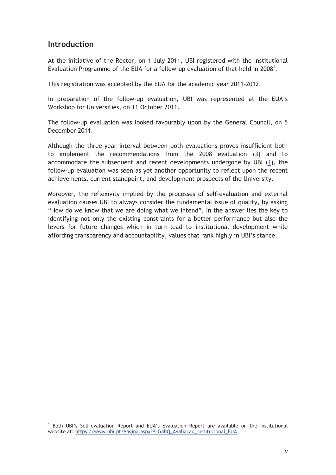## **Introduction**

 $\overline{a}$ 

At the initiative of the Rector, on 1 July 2011, UBI registered with the Institutional Evaluation Programme of the EUA for a follow-up evaluation of that held in 2008<sup>1</sup>.

This registration was accepted by the EUA for the academic year 2011-2012.

In preparation of the follow-up evaluation, UBI was represented at the EUA's Workshop for Universities, on 11 October 2011.

The follow-up evaluation was looked favourably upon by the General Council, on 5 December 2011.

Although the three-year interval between both evaluations proves insufficient both to implement the recommendations from the 2008 evaluation (3) and to accommodate the subsequent and recent developments undergone by UBI (1), the follow-up evaluation was seen as yet another opportunity to reflect upon the recent achievements, current standpoint, and development prospects of the University.

Moreover, the reflexivity implied by the processes of self-evaluation and external evaluation causes UBI to always consider the fundamental issue of quality, by asking "How do we know that we are doing what we intend". In the answer lies the key to identifying not only the existing constraints for a better performance but also the levers for future changes which in turn lead to institutional development while affording transparency and accountability, values that rank highly in UBI's stance.

<sup>&</sup>lt;sup>1</sup> Both UBI's Self-evaluation Report and EUA's Evaluation Report are available on the institutional website at: https://www.ubi.pt/Pagina.aspx?P=GabQ\_Avaliacao\_Institucional\_EUA.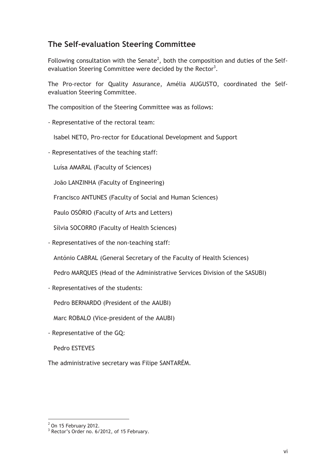## **The Self-evaluation Steering Committee**

Following consultation with the Senate<sup>2</sup>, both the composition and duties of the Selfevaluation Steering Committee were decided by the Rector<sup>3</sup>.

The Pro-rector for Quality Assurance, Amélia AUGUSTO, coordinated the Selfevaluation Steering Committee.

The composition of the Steering Committee was as follows:

- Representative of the rectoral team:

Isabel NETO, Pro-rector for Educational Development and Support

- Representatives of the teaching staff:

Luísa AMARAL (Faculty of Sciences)

João LANZINHA (Faculty of Engineering)

Francisco ANTUNES (Faculty of Social and Human Sciences)

Paulo OSÓRIO (Faculty of Arts and Letters)

Sílvia SOCORRO (Faculty of Health Sciences)

- Representatives of the non-teaching staff:

António CABRAL (General Secretary of the Faculty of Health Sciences)

Pedro MARQUES (Head of the Administrative Services Division of the SASUBI)

- Representatives of the students:

Pedro BERNARDO (President of the AAUBI)

Marc ROBALO (Vice-president of the AAUBI)

- Representative of the GQ:

Pedro ESTEVES

The administrative secretary was Filipe SANTARÉM.

 $2$  On 15 February 2012.

<sup>&</sup>lt;sup>3</sup> Rector's Order no. 6/2012, of 15 February.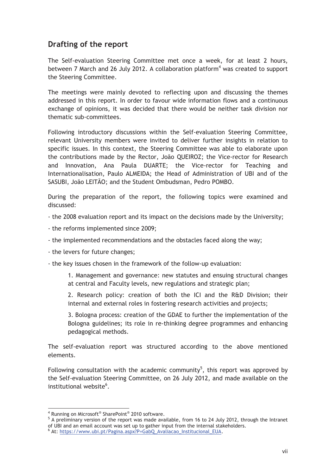## **Drafting of the report**

The Self-evaluation Steering Committee met once a week, for at least 2 hours, between 7 March and 26 July 2012. A collaboration platform<sup>4</sup> was created to support the Steering Committee.

The meetings were mainly devoted to reflecting upon and discussing the themes addressed in this report. In order to favour wide information flows and a continuous exchange of opinions, it was decided that there would be neither task division nor thematic sub-committees.

Following introductory discussions within the Self-evaluation Steering Committee, relevant University members were invited to deliver further insights in relation to specific issues. In this context, the Steering Committee was able to elaborate upon the contributions made by the Rector, João QUEIROZ; the Vice-rector for Research and Innovation, Ana Paula DUARTE; the Vice-rector for Teaching and Internationalisation, Paulo ALMEIDA; the Head of Administration of UBI and of the SASUBI, João LEITÃO; and the Student Ombudsman, Pedro POMBO.

During the preparation of the report, the following topics were examined and discussed:

- the 2008 evaluation report and its impact on the decisions made by the University;

- the reforms implemented since 2009;
- the implemented recommendations and the obstacles faced along the way;
- the levers for future changes;

- the key issues chosen in the framework of the follow-up evaluation:

1. Management and governance: new statutes and ensuing structural changes at central and Faculty levels, new regulations and strategic plan;

2. Research policy: creation of both the ICI and the R&D Division; their internal and external roles in fostering research activities and projects;

3. Bologna process: creation of the GDAE to further the implementation of the Bologna guidelines; its role in re-thinking degree programmes and enhancing pedagogical methods.

The self-evaluation report was structured according to the above mentioned elements.

Following consultation with the academic community<sup>5</sup>, this report was approved by the Self-evaluation Steering Committee, on 26 July 2012, and made available on the institutional website<sup>6</sup>.

<sup>4</sup> Running on Microsoft<sup>®</sup> SharePoint<sup>®</sup> 2010 software.<br><sup>5</sup> A proliminary version of the report was made ava

<sup>&</sup>lt;sup>5</sup> A preliminary version of the report was made available, from 16 to 24 July 2012, through the Intranet of UBI and an email account was set up to gather input from the internal stakeholders. 6

At: https://www.ubi.pt/Pagina.aspx?P=GabQ\_Avaliacao\_Institucional\_EUA.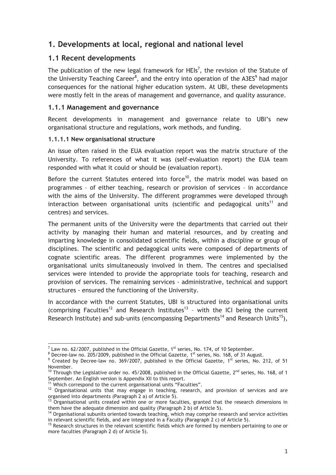## **1. Developments at local, regional and national level**

#### **1.1 Recent developments**

The publication of the new legal framework for HEIs<sup>7</sup>, the revision of the Statute of the University Teaching Career $^8$ , and the entry into operation of the A3ES $^9$  had major consequences for the national higher education system. At UBI, these developments were mostly felt in the areas of management and governance, and quality assurance.

#### **1.1.1 Management and governance**

Recent developments in management and governance relate to UBI's new organisational structure and regulations, work methods, and funding.

#### **1.1.1.1 New organisational structure**

An issue often raised in the EUA evaluation report was the matrix structure of the University. To references of what it was (self-evaluation report) the EUA team responded with what it could or should be (evaluation report).

Before the current Statutes entered into force<sup>10</sup>, the matrix model was based on programmes – of either teaching, research or provision of services – in accordance with the aims of the University. The different programmes were developed through interaction between organisational units (scientific and pedagogical units<sup>11</sup> and centres) and services.

The permanent units of the University were the departments that carried out their activity by managing their human and material resources, and by creating and imparting knowledge in consolidated scientific fields, within a discipline or group of disciplines. The scientific and pedagogical units were composed of departments of cognate scientific areas. The different programmes were implemented by the organisational units simultaneously involved in them. The centres and specialised services were intended to provide the appropriate tools for teaching, research and provision of services. The remaining services - administrative, technical and support structures - ensured the functioning of the University.

In accordance with the current Statutes, UBI is structured into organisational units (comprising Faculties<sup>12</sup> and Research Institutes<sup>13</sup> - with the ICI being the current Research Institute) and sub-units (encompassing Departments<sup>14</sup> and Research Units<sup>15</sup>),

<sup>&</sup>lt;sup>7</sup> Law no. 62/2007, published in the Official Gazette, 1<sup>st</sup> series, No. 174, of 10 September.<br><sup>8</sup> Decreative 10, 205/2009, published in the Official Gazette, 1<sup>st</sup> series, No. 168, of 31 Aug

 $^8$  Decree-law no. 205/2009, published in the Official Gazette, 1st series, No. 168, of 31 August.<br><sup>9</sup> Created by Decree-law no. 369/2007, published in the Official Gazette, 1st series, No. 212, of 51

November. <sup>10</sup> Through the Legislative order no. 45/2008, published in the Official Gazette, 2<sup>nd</sup> series, No. 168, of 1<br>September. An English version is Appendix XII to this report.

the Which correspond to the current organisational units "Faculties".<br><sup>11</sup> Which correspond to the current organisational units "Faculties".<br><sup>12</sup> Organisational units that may engage in teaching, research, and provision of

organised into departments (Paragraph 2 a) of Article 5).<br>
<sup>13</sup> Organisational units created within one or more faculties, granted that the research dimensions in<br>
them have the adequate dimension and quality (Paragraph 2

<sup>&</sup>lt;sup>14</sup> Organisational subunits oriented towards teaching, which may comprise research and service activities<br>in relevant scientific fields, and are integrated in a Faculty (Paragraph 2 c) of Article 5).

 $<sup>15</sup>$  Research structures in the relevant scientific fields which are formed by members pertaining to one or</sup> more faculties (Paragraph 2 d) of Article 5).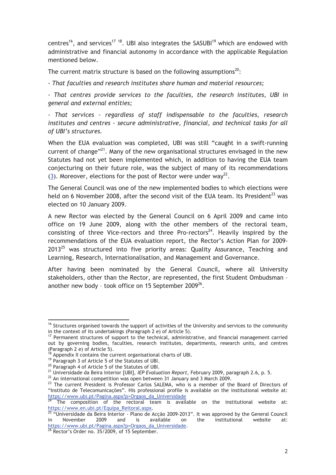centres<sup>16</sup>, and services<sup>17</sup> <sup>18</sup>. UBI also integrates the SASUBI<sup>19</sup> which are endowed with administrative and financial autonomy in accordance with the applicable Regulation mentioned below.

The current matrix structure is based on the following assumptions<sup>20</sup>:

*- That faculties and research institutes share human and material resources;* 

*- That centres provide services to the faculties, the research institutes, UBI in general and external entities;* 

*- That services - regardless of staff indispensable to the faculties, research institutes and centres - secure administrative, financial, and technical tasks for all of UBI's structures.*

When the EUA evaluation was completed, UBI was still "caught in a swift-running current of change $"^{21}$ . Many of the new organisational structures envisaged in the new Statutes had not yet been implemented which, in addition to having the EUA team conjecturing on their future role, was the subject of many of its recommendations (3). Moreover, elections for the post of Rector were under way<sup>22</sup>.

The General Council was one of the new implemented bodies to which elections were held on 6 November 2008, after the second visit of the EUA team. Its President<sup>23</sup> was elected on 10 January 2009.

A new Rector was elected by the General Council on 6 April 2009 and came into office on 19 June 2009, along with the other members of the rectoral team, consisting of three Vice-rectors and three Pro-rectors<sup>24</sup>. Heavily inspired by the recommendations of the EUA evaluation report, the Rector's Action Plan for 2009-  $2013^{25}$  was structured into five priority areas: Quality Assurance, Teaching and Learning, Research, Internationalisation, and Management and Governance.

After having been nominated by the General Council, where all University stakeholders, other than the Rector, are represented, the first Student Ombudsman – another new body - took office on 15 September 2009 $^{26}$ .

<sup>&</sup>lt;sup>16</sup> Structures organised towards the support of activities of the University and services to the community in the context of its undertakings (Paragraph 2 e) of Article 5).

 $17$  Permanent structures of support to the technical, administrative, and financial management carried out by governing bodies, faculties, research institutes, departments, research units, and centres (Paragraph 2 e) of Article 5).

 $^{18}$  Appendix II contains the current organisational charts of UBI.<br><sup>19</sup> Paragraph 3 of Article 5 of the Statutes of UBI.

<sup>&</sup>lt;sup>20</sup> Paragraph 4 of Article 5 of the Statutes of UBI.<br><sup>20</sup> Paragraph 4 of Article 5 of the Statutes of UBI.<br><sup>21</sup> Universidade da Beira Interior [UBI], *IEP Evaluation Report*, February 2009, paragraph 2.6, p. 5.

 $^{22}$  An international competition was open between 31 January and 3 March 2009.<br>
<sup>23</sup> The current President is Professor Carlos SALEMA, who is a member of the Board of Directors of "Instituto de Telecomunicações". His professional profile is available on the institutional website at:<br>https://www.ubi.pt/Pagina.aspx?p=Orgaos\_da\_Universidade

<sup>&</sup>lt;sup>24</sup> The composition of the rectoral team is available on the institutional website at:<br>https://www.en.ubi.pt/Equipa\_Reitoral.aspx.

 $\frac{25}{10}$  "Universidade da Beira Interior - Plano de Acção 2009-2013". It was approved by the General Council in November 2009 and is available on the institutional website at: https://www.ubi.pt/Pagina.aspx?p=Orgaos\_da\_Universidade.<br><sup>26</sup> Rector's Order no. 35/2009, of 15 September.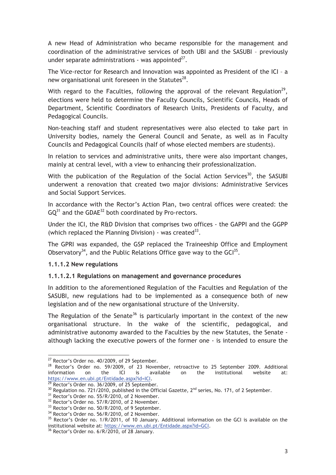A new Head of Administration who became responsible for the management and coordination of the administrative services of both UBI and the SASUBI – previously under separate administrations - was appointed $^{27}$ .

The Vice-rector for Research and Innovation was appointed as President of the ICI – a new organisational unit foreseen in the Statutes<sup>28</sup>.

With regard to the Faculties, following the approval of the relevant Regulation<sup>29</sup>, elections were held to determine the Faculty Councils, Scientific Councils, Heads of Department, Scientific Coordinators of Research Units, Presidents of Faculty, and Pedagogical Councils.

Non-teaching staff and student representatives were also elected to take part in University bodies, namely the General Council and Senate, as well as in Faculty Councils and Pedagogical Councils (half of whose elected members are students).

In relation to services and administrative units, there were also important changes, mainly at central level, with a view to enhancing their professionalization.

With the publication of the Regulation of the Social Action Services<sup>30</sup>, the SASUBI underwent a renovation that created two major divisions: Administrative Services and Social Support Services.

In accordance with the Rector's Action Plan, two central offices were created: the  $GQ^{31}$  and the GDAE<sup>32</sup> both coordinated by Pro-rectors.

Under the ICI, the R&D Division that comprises two offices - the GAPPI and the GGPP (which replaced the Planning Division) - was created  $33$ .

The GPRI was expanded, the GSP replaced the Traineeship Office and Employment Observatory<sup>34</sup>, and the Public Relations Office gave way to the  $GCI^{35}$ .

#### **1.1.1.2 New regulations**

 $\overline{a}$ 

#### **1.1.1.2.1 Regulations on management and governance procedures**

In addition to the aforementioned Regulation of the Faculties and Regulation of the SASUBI, new regulations had to be implemented as a consequence both of new legislation and of the new organisational structure of the University.

The Regulation of the Senate<sup>36</sup> is particularly important in the context of the new organisational structure. In the wake of the scientific, pedagogical, and administrative autonomy awarded to the Faculties by the new Statutes, the Senate although lacking the executive powers of the former one - is intended to ensure the

<sup>&</sup>lt;sup>27</sup> Rector's Order no. 40/2009, of 29 September.

<sup>&</sup>lt;sup>28</sup> Rector's Order no. 59/2009, of 23 November, retroactive to 25 September 2009. Additional information on the ICI is available on the institutional website at: information on the ICI is available on the institutional website at: https://www.en.ubi.pt/Entidade.aspx?id=ICI.<br><sup>29</sup> Rector's Order no. 36/2009, of 25 September.

<sup>&</sup>lt;sup>30</sup> Regulation no. 721/2010, published in the Official Gazette,  $2^{nd}$  series, No. 171, of 2 September.<br><sup>31</sup> Rector's Order no. 55/R/2010, of 2 November.

<sup>&</sup>lt;sup>32</sup> Rector's Order no. 57/R/2010, of 2 November.

<sup>&</sup>lt;sup>33</sup> Rector's Order no. 50/R/2010, of 9 September.

<sup>&</sup>lt;sup>34</sup> Rector's Order no. 56/R/2010, of 2 November.

<sup>&</sup>lt;sup>35</sup> Rector's Order no. 1/R/2011, of 10 January. Additional information on the GCI is available on the institutional website at: https://www.en.ubi.pt/Entidade.aspx?id=GCI.<br><sup>36</sup> Rector's Order no. 6/R/2010, of 28 January.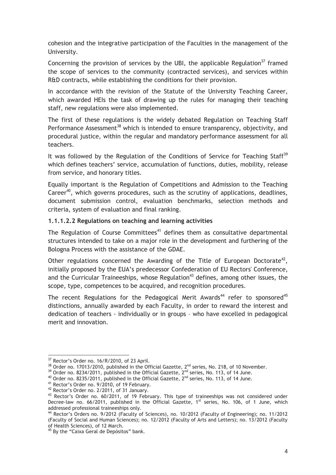cohesion and the integrative participation of the Faculties in the management of the University.

Concerning the provision of services by the UBI, the applicable Regulation<sup>37</sup> framed the scope of services to the community (contracted services), and services within R&D contracts, while establishing the conditions for their provision.

In accordance with the revision of the Statute of the University Teaching Career, which awarded HEIs the task of drawing up the rules for managing their teaching staff, new regulations were also implemented.

The first of these regulations is the widely debated Regulation on Teaching Staff Performance Assessment<sup>38</sup> which is intended to ensure transparency, objectivity, and procedural justice, within the regular and mandatory performance assessment for all teachers.

It was followed by the Regulation of the Conditions of Service for Teaching Staff<sup>39</sup> which defines teachers' service, accumulation of functions, duties, mobility, release from service, and honorary titles.

Equally important is the Regulation of Competitions and Admission to the Teaching Career<sup>40</sup>, which governs procedures, such as the scrutiny of applications, deadlines, document submission control, evaluation benchmarks, selection methods and criteria, system of evaluation and final ranking.

#### **1.1.1.2.2 Regulations on teaching and learning activities**

The Regulation of Course Committees<sup>41</sup> defines them as consultative departmental structures intended to take on a major role in the development and furthering of the Bologna Process with the assistance of the GDAE.

Other regulations concerned the Awarding of the Title of European Doctorate<sup>42</sup>, initially proposed by the EUA's predecessor Confederation of EU Rectors' Conference, and the Curricular Traineeships, whose Regulation<sup>43</sup> defines, among other issues, the scope, type, competences to be acquired, and recognition procedures.

The recent Regulations for the Pedagogical Merit Awards<sup>44</sup> refer to sponsored<sup>45</sup> distinctions, annually awarded by each Faculty, in order to reward the interest and dedication of teachers - individually or in groups – who have excelled in pedagogical merit and innovation.

<sup>&</sup>lt;sup>37</sup> Rector's Order no. 16/R/2010, of 23 April.

<sup>&</sup>lt;sup>38</sup> Order no. 17013/2010, published in the Official Gazette,  $2^{nd}$  series, No. 218, of 10 November.<br><sup>39</sup> Order no. 8234/2011, published in the Official Gazette,  $2^{nd}$  series, No. 113, of 14 June.<br><sup>40</sup> Order no. 8235/20

<sup>&</sup>lt;sup>42</sup> Rector's Order no. 2/2011, of 31 January.

 $43$  Rector's Order no. 60/2011, of 19 February. This type of traineeships was not considered under Decree-law no.  $66/2011$ , published in the Official Gazette,  $1<sup>st</sup>$  series, No. 106, of 1 June, which addressed professional traineeships only.<br><sup>44</sup> Rector's Orders no. 9/2012 (Faculty of Sciences), no. 10/2012 (Faculty of Engineering); no. 11/2012

<sup>(</sup>Faculty of Social and Human Sciences); no. 12/2012 (Faculty of Arts and Letters); no. 13/2012 (Faculty of Health Sciences), of 12 March.

<sup>&</sup>lt;sup>45</sup> By the "Caixa Geral de Depósitos" bank.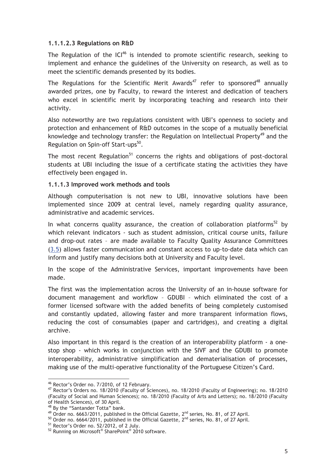#### **1.1.1.2.3 Regulations on R&D**

The Regulation of the  $|Cl^{46}$  is intended to promote scientific research, seeking to implement and enhance the guidelines of the University on research, as well as to meet the scientific demands presented by its bodies.

The Regulations for the Scientific Merit Awards<sup>47</sup> refer to sponsored<sup>48</sup> annually awarded prizes, one by Faculty, to reward the interest and dedication of teachers who excel in scientific merit by incorporating teaching and research into their activity.

Also noteworthy are two regulations consistent with UBI's openness to society and protection and enhancement of R&D outcomes in the scope of a mutually beneficial knowledge and technology transfer: the Regulation on Intellectual Property<sup>49</sup> and the Regulation on Spin-off Start-ups<sup>50</sup>.

The most recent Regulation<sup>51</sup> concerns the rights and obligations of post-doctoral students at UBI including the issue of a certificate stating the activities they have effectively been engaged in.

#### **1.1.1.3 Improved work methods and tools**

Although computerisation is not new to UBI, innovative solutions have been implemented since 2009 at central level, namely regarding quality assurance, administrative and academic services.

In what concerns quality assurance, the creation of collaboration platforms<sup>52</sup> by which relevant indicators - such as student admission, critical course units, failure and drop-out rates – are made available to Faculty Quality Assurance Committees (3.5) allows faster communication and constant access to up-to-date data which can inform and justify many decisions both at University and Faculty level.

In the scope of the Administrative Services, important improvements have been made.

The first was the implementation across the University of an in-house software for document management and workflow – GDUBI – which eliminated the cost of a former licensed software with the added benefits of being completely customised and constantly updated, allowing faster and more transparent information flows, reducing the cost of consumables (paper and cartridges), and creating a digital archive.

Also important in this regard is the creation of an interoperability platform - a onestop shop - which works in conjunction with the SIVF and the GDUBI to promote interoperability, administrative simplification and dematerialisation of processes, making use of the multi-operative functionality of the Portuguese Citizen's Card.

<sup>46</sup> Rector's Order no. 7/2010, of 12 February.

<sup>47</sup> Rector's Orders no. 18/2010 (Faculty of Sciences), no. 18/2010 (Faculty of Engineering); no. 18/2010 (Faculty of Social and Human Sciences); no. 18/2010 (Faculty of Arts and Letters); no. 18/2010 (Faculty of Health Sciences), of 30 April.

<sup>&</sup>lt;sup>48</sup> By the "Santander Totta" bank.<br><sup>49</sup> Order no. 6663/2011, published in the Official Gazette, 2<sup>nd</sup> series, No. 81, of 27 April.

 $^{50}$  Order no. 6664/2011, published in the Official Gazette,  $2^{nd}$  series, No. 81, of 27 April.<br> $^{51}$  Rector's Order no. 52/2012, of 2 July.

<sup>&</sup>lt;sup>52</sup> Running on Microsoft<sup>®</sup> SharePoint<sup>®</sup> 2010 software.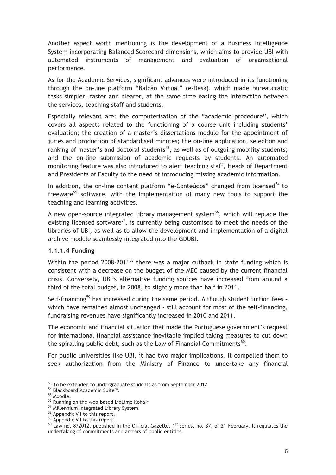Another aspect worth mentioning is the development of a Business Intelligence System incorporating Balanced Scorecard dimensions, which aims to provide UBI with automated instruments of management and evaluation of organisational performance.

As for the Academic Services, significant advances were introduced in its functioning through the on-line platform "Balcão Virtual" (e-Desk), which made bureaucratic tasks simpler, faster and clearer, at the same time easing the interaction between the services, teaching staff and students.

Especially relevant are: the computerisation of the "academic procedure", which covers all aspects related to the functioning of a course unit including students' evaluation; the creation of a master's dissertations module for the appointment of juries and production of standardised minutes; the on-line application, selection and ranking of master's and doctoral students<sup>53</sup>, as well as of outgoing mobility students; and the on-line submission of academic requests by students. An automated monitoring feature was also introduced to alert teaching staff, Heads of Department and Presidents of Faculty to the need of introducing missing academic information.

In addition, the on-line content platform "e-Conteúdos" changed from licensed<sup>54</sup> to freeware<sup>55</sup> software, with the implementation of many new tools to support the teaching and learning activities.

A new open-source integrated library management system<sup>56</sup>, which will replace the existing licensed software<sup>57</sup>, is currently being customised to meet the needs of the libraries of UBI, as well as to allow the development and implementation of a digital archive module seamlessly integrated into the GDUBI.

#### **1.1.1.4 Funding**

Within the period  $2008-2011^{58}$  there was a major cutback in state funding which is consistent with a decrease on the budget of the MEC caused by the current financial crisis. Conversely, UBI's alternative funding sources have increased from around a third of the total budget, in 2008, to slightly more than half in 2011.

Self-financing<sup>59</sup> has increased during the same period. Although student tuition fees which have remained almost unchanged - still account for most of the self-financing, fundraising revenues have significantly increased in 2010 and 2011.

The economic and financial situation that made the Portuguese government's request for international financial assistance inevitable implied taking measures to cut down the spiralling public debt, such as the Law of Financial Commitments<sup>60</sup>.

For public universities like UBI, it had two major implications. It compelled them to seek authorization from the Ministry of Finance to undertake any financial

<sup>&</sup>lt;sup>53</sup> To be extended to undergraduate students as from September 2012.<br><sup>54</sup> Blackboard Academic Suite™.

<sup>55</sup> Moodle.

<sup>56</sup> Running on the web-based LibLime Koha™.

<sup>&</sup>lt;sup>57</sup> Millennium Integrated Library System.

<sup>&</sup>lt;sup>58</sup> Appendix VII to this report.

<sup>59</sup> Appendix VII to this report.

 $60$  Law no. 8/2012, published in the Official Gazette, 1<sup>st</sup> series, no. 37, of 21 February. It regulates the undertaking of commitments and arrears of public entities.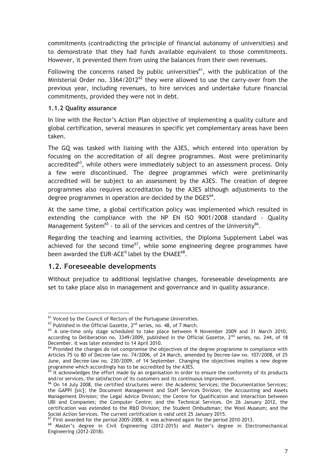commitments (contradicting the principle of financial autonomy of universities) and to demonstrate that they had funds available equivalent to those commitments. However, it prevented them from using the balances from their own revenues.

Following the concerns raised by public universities<sup>61</sup>, with the publication of the Ministerial Order no.  $3364/2012^{62}$  they were allowed to use the carry-over from the previous year, including revenues, to hire services and undertake future financial commitments, provided they were not in debt.

#### **1.1.2 Quality assurance**

In line with the Rector's Action Plan objective of implementing a quality culture and global certification, several measures in specific yet complementary areas have been taken.

The GQ was tasked with liaising with the A3ES, which entered into operation by focusing on the accreditation of all degree programmes. Most were preliminarily accredited<sup>63</sup>, while others were immediately subject to an assessment process. Only a few were discontinued. The degree programmes which were preliminarily accredited will be subject to an assessment by the A3ES. The creation of degree programmes also requires accreditation by the A3ES although adjustments to the degree programmes in operation are decided by the  $DGES<sup>64</sup>$ .

At the same time, a global certification policy was implemented which resulted in extending the compliance with the NP EN ISO 9001/2008 standard - Quality Management System<sup>65</sup> - to all of the services and centres of the University<sup>66</sup>.

Regarding the teaching and learning activities, the Diploma Supplement Label was achieved for the second time<sup>67</sup>, while some engineering degree programmes have been awarded the EUR-ACE® label by the ENAEE $^{68}$ .

#### **1.2. Foreseeable developments**

 $\overline{a}$ 

Without prejudice to additional legislative changes, foreseeable developments are set to take place also in management and governance and in quality assurance.

<sup>&</sup>lt;sup>61</sup> Voiced by the Council of Rectors of the Portuguese Universities.<br><sup>62</sup> Published in the Official Gazette, 2<sup>nd</sup> series, no. 48, of 7 March.

 $63$  A one-time only stage scheduled to take place between 9 November 2009 and 31 March 2010, according to Deliberation no. 3349/2009, published in the Official Gazette,  $2<sup>nd</sup>$  series, no. 244, of 18 December. It was later extended to 14 April 2010.<br><sup>64</sup> Provided the changes do not compromise the objectives of the degree programme in compliance with

Articles 75 to 80 of Decree-law no. 74/2006, of 24 March, amended by Decree-law no. 107/2008, of 25 June, and Decree-law no. 230/2009, of 14 September. Changing the objectives implies a new degree programme which accordingly has to be accredited by the A3ES.<br><sup>65</sup> It acknowledges the effort made by an organisation in order to ensure the conformity of its products

and/or services, the satisfaction of its customers and its continuous improvement.<br><sup>66</sup> On 14 July 2008, the certified structures were: the Academic Services; the Documentation Services;

the GAPPI [sic]; the Document Management and Staff Services Division; the Accounting and Assets Management Division; the Legal Advice Division; the Centre for Qualification and Interaction between UBI and Companies; the Computer Centre; and the Technical Services. On 26 January 2012, the certification was extended to the R&D Division; the Student Ombudsman; the Wool Museum; and the Social Action Services. The current certification is valid until 25 January 2015.

 $^{67}$  First awarded for the period 2005-2008, it was achieved again for the period 2010-2013.<br> $^{68}$  Master's degree in Civil Engineering (2012-2015) and Master's degree in Electromechanical Engineering (2012-2018).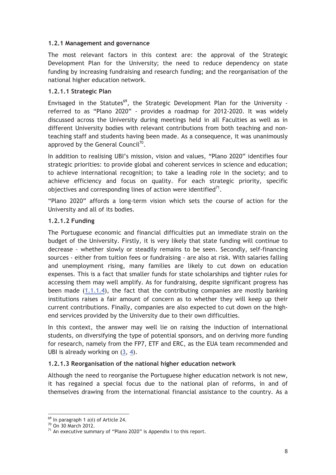#### **1.2.1 Management and governance**

The most relevant factors in this context are: the approval of the Strategic Development Plan for the University; the need to reduce dependency on state funding by increasing fundraising and research funding; and the reorganisation of the national higher education network.

#### **1.2.1.1 Strategic Plan**

Envisaged in the Statutes<sup>69</sup>, the Strategic Development Plan for the University referred to as "Plano 2020" - provides a roadmap for 2012-2020. It was widely discussed across the University during meetings held in all Faculties as well as in different University bodies with relevant contributions from both teaching and nonteaching staff and students having been made. As a consequence, it was unanimously approved by the General Council $^{70}$ .

In addition to realising UBI's mission, vision and values, "Plano 2020" identifies four strategic priorities: to provide global and coherent services in science and education; to achieve international recognition; to take a leading role in the society; and to achieve efficiency and focus on quality. For each strategic priority, specific objectives and corresponding lines of action were identified $71$ .

"Plano 2020" affords a long-term vision which sets the course of action for the University and all of its bodies.

#### **1.2.1.2 Funding**

The Portuguese economic and financial difficulties put an immediate strain on the budget of the University. Firstly, it is very likely that state funding will continue to decrease - whether slowly or steadily remains to be seen. Secondly, self-financing sources - either from tuition fees or fundraising - are also at risk. With salaries falling and unemployment rising, many families are likely to cut down on education expenses. This is a fact that smaller funds for state scholarships and tighter rules for accessing them may well amplify. As for fundraising, despite significant progress has been made (1.1.1.4), the fact that the contributing companies are mostly banking institutions raises a fair amount of concern as to whether they will keep up their current contributions. Finally, companies are also expected to cut down on the highend services provided by the University due to their own difficulties.

In this context, the answer may well lie on raising the induction of international students, on diversifying the type of potential sponsors, and on deriving more funding for research, namely from the FP7, ETF and ERC, as the EUA team recommended and UBI is already working on (3, 4).

#### **1.2.1.3 Reorganisation of the national higher education network**

Although the need to reorganise the Portuguese higher education network is not new, it has regained a special focus due to the national plan of reforms, in and of themselves drawing from the international financial assistance to the country. As a

 $69$  In paragraph 1 a)i) of Article 24.

<sup>70</sup> On 30 March 2012.

 $71$  An executive summary of "Plano 2020" is Appendix I to this report.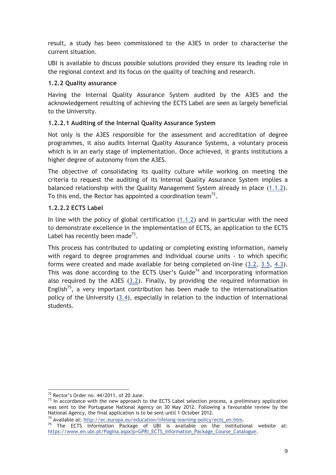result, a study has been commissioned to the A3ES in order to characterise the current situation.

UBI is available to discuss possible solutions provided they ensure its leading role in the regional context and its focus on the quality of teaching and research.

#### **1.2.2 Quality assurance**

Having the Internal Quality Assurance System audited by the A3ES and the acknowledgement resulting of achieving the ECTS Label are seen as largely beneficial to the University.

#### **1.2.2.1 Auditing of the Internal Quality Assurance System**

Not only is the A3ES responsible for the assessment and accreditation of degree programmes, it also audits Internal Quality Assurance Systems, a voluntary process which is in an early stage of implementation. Once achieved, it grants institutions a higher degree of autonomy from the A3ES.

The objective of consolidating its quality culture while working on meeting the criteria to request the auditing of its Internal Quality Assurance System implies a balanced relationship with the Quality Management System already in place (1.1.2). To this end, the Rector has appointed a coordination team $^{72}$ .

#### **1.2.2.2 ECTS Label**

In line with the policy of global certification (1.1.2) and in particular with the need to demonstrate excellence in the implementation of ECTS, an application to the ECTS Label has recently been made<sup>73</sup>.

This process has contributed to updating or completing existing information, namely with regard to degree programmes and individual course units - to which specific forms were created and made available for being completed on-line (3.2, 3.5, 4.3). This was done according to the ECTS User's Guide<sup>74</sup> and incorporating information also required by the A3ES (3.2). Finally, by providing the required information in English<sup>75</sup>, a very important contribution has been made to the internationalisation policy of the University (3.4), especially in relation to the induction of international students.

 $72$  Rector's Order no.  $44/2011$ , of 20 June.

 $73$  In accordance with the new approach to the ECTS Label selection process, a preliminary application was sent to the Portuguese National Agency on 30 May 2012. Following a favourable review by the National Agency, the final application is to be sent until 1 October 2012.<br><sup>74</sup> Available at: <u>http://ec.europa.eu/education/lifelong-learning-policy/ects\_en.htm.<br><sup>75</sup> The ECTS Information Package of UBI is available on th</u>

https://www.en.ubi.pt/Pagina.aspx?p=GPRI\_ECTS\_Information\_Package\_Course\_Catalogue.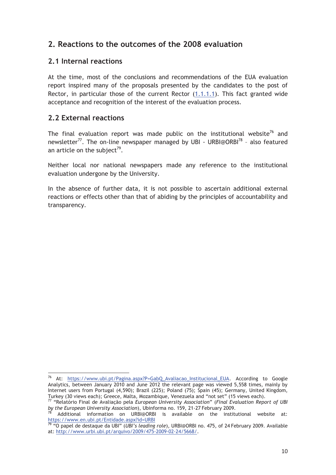## **2. Reactions to the outcomes of the 2008 evaluation**

#### **2.1 Internal reactions**

At the time, most of the conclusions and recommendations of the EUA evaluation report inspired many of the proposals presented by the candidates to the post of Rector, in particular those of the current Rector (1.1.1.1). This fact granted wide acceptance and recognition of the interest of the evaluation process.

#### **2.2 External reactions**

 $\overline{a}$ 

The final evaluation report was made public on the institutional website<sup>76</sup> and newsletter<sup>77</sup>. The on-line newspaper managed by UBI - URBI@ORBI<sup>78</sup> - also featured an article on the subject<sup>79</sup>.

Neither local nor national newspapers made any reference to the institutional evaluation undergone by the University.

In the absence of further data, it is not possible to ascertain additional external reactions or effects other than that of abiding by the principles of accountability and transparency.

<sup>76</sup> At: https://www.ubi.pt/Pagina.aspx?P=GabQ\_Avaliacao\_Institucional\_EUA. According to Google Analytics, between January 2010 and June 2012 the relevant page was viewed 5,558 times, mainly by Internet users from Portugal (4,590); Brazil (225); Poland (75); Spain (45); Germany, United Kingdom,<br>Turkey (30 views each); Greece, Malta, Mozambigue, Venezuela and "not set" (15 views each).

Turkey (30 views each); Greece, Malta, Mozambique, Venezuela and "not set" (15 views each). 77 "Relatório Final de Avaliação pela *European University Association*" (*Final Evaluation Report of UBI* 

*by the European University Association*), Ubinforma no. 159, 21-27 February 2009.<br><sup>78</sup> Additional information on URBI@ORBI is available on the institutional website at: https://www.en.ubi.pt/Entidade.aspx?id=URBI<br><sup>79</sup> "O papel de destaque da UBI" (*UBI's leading role*), URBI@ORBI no. 475, of 24 February 2009. Available

at: http://www.urbi.ubi.pt/arquivo/2009/475-2009-02-24/5668/.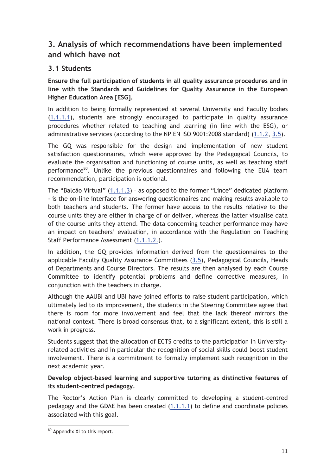## **3. Analysis of which recommendations have been implemented and which have not**

## **3.1 Students**

**Ensure the full participation of students in all quality assurance procedures and in line with the Standards and Guidelines for Quality Assurance in the European Higher Education Area [ESG].** 

In addition to being formally represented at several University and Faculty bodies (1.1.1.1), students are strongly encouraged to participate in quality assurance procedures whether related to teaching and learning (in line with the ESG), or administrative services (according to the NP EN ISO 9001:2008 standard) (1.1.2, 3.5).

The GQ was responsible for the design and implementation of new student satisfaction questionnaires, which were approved by the Pedagogical Councils, to evaluate the organisation and functioning of course units, as well as teaching staff performance<sup>80</sup>. Unlike the previous questionnaires and following the EUA team recommendation, participation is optional.

The "Balcão Virtual" (1.1.1.3) – as opposed to the former "Lince" dedicated platform - is the on-line interface for answering questionnaires and making results available to both teachers and students. The former have access to the results relative to the course units they are either in charge of or deliver, whereas the latter visualise data of the course units they attend. The data concerning teacher performance may have an impact on teachers' evaluation, in accordance with the Regulation on Teaching Staff Performance Assessment (1.1.1.2.).

In addition, the GQ provides information derived from the questionnaires to the applicable Faculty Quality Assurance Committees (3.5), Pedagogical Councils, Heads of Departments and Course Directors. The results are then analysed by each Course Committee to identify potential problems and define corrective measures, in conjunction with the teachers in charge.

Although the AAUBI and UBI have joined efforts to raise student participation, which ultimately led to its improvement, the students in the Steering Committee agree that there is room for more involvement and feel that the lack thereof mirrors the national context. There is broad consensus that, to a significant extent, this is still a work in progress.

Students suggest that the allocation of ECTS credits to the participation in Universityrelated activities and in particular the recognition of social skills could boost student involvement. There is a commitment to formally implement such recognition in the next academic year.

#### **Develop object-based learning and supportive tutoring as distinctive features of its student-centred pedagogy.**

The Rector's Action Plan is clearly committed to developing a student-centred pedagogy and the GDAE has been created (1.1.1.1) to define and coordinate policies associated with this goal.

<sup>80</sup> Appendix XI to this report.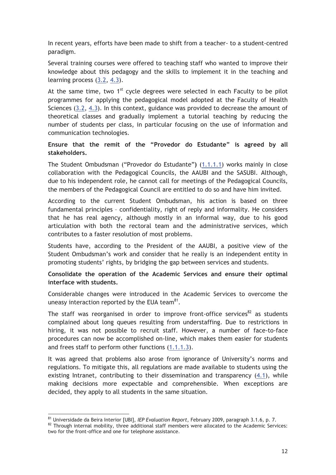In recent years, efforts have been made to shift from a teacher- to a student-centred paradigm.

Several training courses were offered to teaching staff who wanted to improve their knowledge about this pedagogy and the skills to implement it in the teaching and learning process (3.2, 4.3).

At the same time, two  $1<sup>st</sup>$  cycle degrees were selected in each Faculty to be pilot programmes for applying the pedagogical model adopted at the Faculty of Health Sciences (3.2, 4.3). In this context, guidance was provided to decrease the amount of theoretical classes and gradually implement a tutorial teaching by reducing the number of students per class, in particular focusing on the use of information and communication technologies.

#### **Ensure that the remit of the "Provedor do Estudante" is agreed by all stakeholders.**

The Student Ombudsman ("Provedor do Estudante"**)** (1.1.1.1) works mainly in close collaboration with the Pedagogical Councils, the AAUBI and the SASUBI. Although, due to his independent role, he cannot call for meetings of the Pedagogical Councils, the members of the Pedagogical Council are entitled to do so and have him invited.

According to the current Student Ombudsman, his action is based on three fundamental principles – confidentiality, right of reply and informality. He considers that he has real agency, although mostly in an informal way, due to his good articulation with both the rectoral team and the administrative services, which contributes to a faster resolution of most problems.

Students have, according to the President of the AAUBI, a positive view of the Student Ombudsman's work and consider that he really is an independent entity in promoting students' rights, by bridging the gap between services and students.

#### **Consolidate the operation of the Academic Services and ensure their optimal interface with students.**

Considerable changes were introduced in the Academic Services to overcome the uneasy interaction reported by the EUA team $81$ .

The staff was reorganised in order to improve front-office services<sup>82</sup> as students complained about long queues resulting from understaffing. Due to restrictions in hiring, it was not possible to recruit staff. However, a number of face-to-face procedures can now be accomplished on-line, which makes them easier for students and frees staff to perform other functions (1.1.1.3).

It was agreed that problems also arose from ignorance of University's norms and regulations. To mitigate this, all regulations are made available to students using the existing Intranet, contributing to their dissemination and transparency (4.1), while making decisions more expectable and comprehensible. When exceptions are decided, they apply to all students in the same situation.

<sup>&</sup>lt;sup>81</sup> Universidade da Beira Interior [UBI], *IEP Evaluation Report*, February 2009, paragraph 3.1.6, p. 7.<br><sup>82</sup> Through internal mobility, three additional staff members were allocated to the Academic Services: two for the front-office and one for telephone assistance.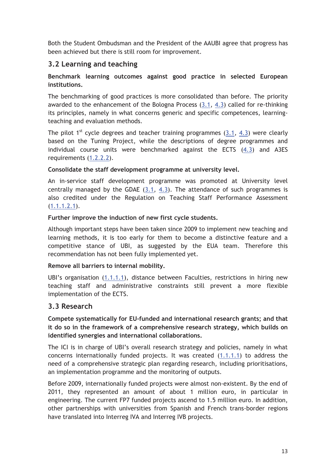Both the Student Ombudsman and the President of the AAUBI agree that progress has been achieved but there is still room for improvement.

## **3.2 Learning and teaching**

#### **Benchmark learning outcomes against good practice in selected European institutions.**

The benchmarking of good practices is more consolidated than before. The priority awarded to the enhancement of the Bologna Process (3.1, 4.3) called for re-thinking its principles, namely in what concerns generic and specific competences, learningteaching and evaluation methods.

The pilot  $1^{st}$  cycle degrees and teacher training programmes (3.1, 4.3) were clearly based on the Tuning Project, while the descriptions of degree programmes and individual course units were benchmarked against the ECTS  $(4.3)$  and A3ES requirements (1.2.2.2).

#### **Consolidate the staff development programme at university level.**

An in-service staff development programme was promoted at University level centrally managed by the GDAE (3.1, 4.3). The attendance of such programmes is also credited under the Regulation on Teaching Staff Performance Assessment  $(1.1.1.2.1).$ 

#### **Further improve the induction of new first cycle students.**

Although important steps have been taken since 2009 to implement new teaching and learning methods, it is too early for them to become a distinctive feature and a competitive stance of UBI, as suggested by the EUA team. Therefore this recommendation has not been fully implemented yet.

#### **Remove all barriers to internal mobility.**

UBI's organisation (1.1.1.1), distance between Faculties, restrictions in hiring new teaching staff and administrative constraints still prevent a more flexible implementation of the ECTS.

## **3.3 Research**

**Compete systematically for EU-funded and international research grants; and that it do so in the framework of a comprehensive research strategy, which builds on identified synergies and international collaborations.** 

The ICI is in charge of UBI's overall research strategy and policies, namely in what concerns internationally funded projects. It was created (1.1.1.1) to address the need of a comprehensive strategic plan regarding research, including prioritisations, an implementation programme and the monitoring of outputs.

Before 2009, internationally funded projects were almost non-existent. By the end of 2011, they represented an amount of about 1 million euro, in particular in engineering. The current FP7 funded projects ascend to 1.5 million euro. In addition, other partnerships with universities from Spanish and French trans-border regions have translated into Interreg IVA and Interreg IVB projects.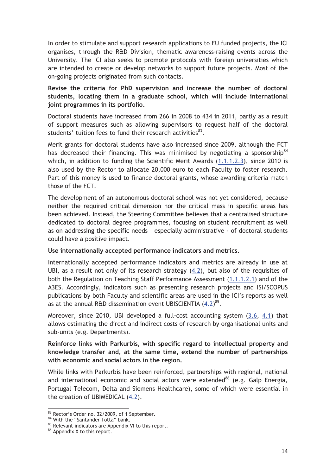In order to stimulate and support research applications to EU funded projects, the ICI organises, through the R&D Division, thematic awareness-raising events across the University. The ICI also seeks to promote protocols with foreign universities which are intended to create or develop networks to support future projects. Most of the on-going projects originated from such contacts.

**Revise the criteria for PhD supervision and increase the number of doctoral students, locating them in a graduate school, which will include international joint programmes in its portfolio.** 

Doctoral students have increased from 266 in 2008 to 434 in 2011, partly as a result of support measures such as allowing supervisors to request half of the doctoral students' tuition fees to fund their research activities $^{83}$ .

Merit grants for doctoral students have also increased since 2009, although the FCT has decreased their financing. This was minimised by negotiating a sponsorship<sup>84</sup> which, in addition to funding the Scientific Merit Awards (1.1.1.2.3), since 2010 is also used by the Rector to allocate 20,000 euro to each Faculty to foster research. Part of this money is used to finance doctoral grants, whose awarding criteria match those of the FCT.

The development of an autonomous doctoral school was not yet considered, because neither the required critical dimension nor the critical mass in specific areas has been achieved. Instead, the Steering Committee believes that a centralised structure dedicated to doctoral degree programmes, focusing on student recruitment as well as on addressing the specific needs – especially administrative - of doctoral students could have a positive impact.

#### **Use internationally accepted performance indicators and metrics.**

Internationally accepted performance indicators and metrics are already in use at UBI, as a result not only of its research strategy (4.2), but also of the requisites of both the Regulation on Teaching Staff Performance Assessment (1.1.1.2.1) and of the A3ES. Accordingly, indicators such as presenting research projects and ISI/SCOPUS publications by both Faculty and scientific areas are used in the ICI's reports as well as at the annual R&D dissemination event UBISCIENTIA  $(4.2)^{85}$ .

Moreover, since 2010, UBI developed a full-cost accounting system (3.6, 4.1) that allows estimating the direct and indirect costs of research by organisational units and sub-units (e.g. Departments).

**Reinforce links with Parkurbis, with specific regard to intellectual property and knowledge transfer and, at the same time, extend the number of partnerships with economic and social actors in the region.** 

While links with Parkurbis have been reinforced, partnerships with regional, national and international economic and social actors were extended<sup>86</sup> (e.g. Galp Energia, Portugal Telecom, Delta and Siemens Healthcare), some of which were essential in the creation of UBIMEDICAL (4.2).

<sup>83</sup> Rector's Order no. 32/2009, of 1 September.

<sup>&</sup>lt;sup>84</sup> With the "Santander Totta" bank.

 $85$  Relevant indicators are Appendix VI to this report.<br> $86$  Appendix X to this report.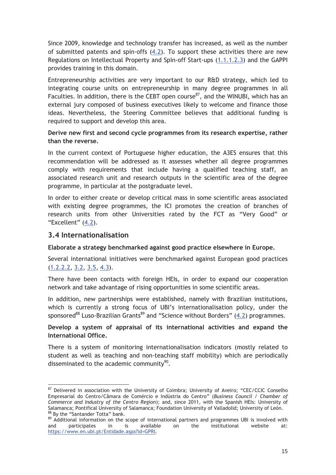Since 2009, knowledge and technology transfer has increased, as well as the number of submitted patents and spin-offs (4.2). To support these activities there are new Regulations on Intellectual Property and Spin-off Start-ups (1.1.1.2.3) and the GAPPI provides training in this domain.

Entrepreneurship activities are very important to our R&D strategy, which led to integrating course units on entrepreneurship in many degree programmes in all Faculties. In addition, there is the CEBT open course<sup>87</sup>, and the WINUBI, which has an external jury composed of business executives likely to welcome and finance those ideas. Nevertheless, the Steering Committee believes that additional funding is required to support and develop this area.

#### **Derive new first and second cycle programmes from its research expertise, rather than the reverse.**

In the current context of Portuguese higher education, the A3ES ensures that this recommendation will be addressed as it assesses whether all degree programmes comply with requirements that include having a qualified teaching staff, an associated research unit and research outputs in the scientific area of the degree programme, in particular at the postgraduate level.

In order to either create or develop critical mass in some scientific areas associated with existing degree programmes, the ICI promotes the creation of branches of research units from other Universities rated by the FCT as "Very Good" or "Excellent" (4.2).

#### **3.4 Internationalisation**

 $\overline{a}$ 

**Elaborate a strategy benchmarked against good practice elsewhere in Europe.** 

Several international initiatives were benchmarked against European good practices (1.2.2.2, 3.2, 3.5, 4.3).

There have been contacts with foreign HEIs, in order to expand our cooperation network and take advantage of rising opportunities in some scientific areas.

In addition, new partnerships were established, namely with Brazilian institutions, which is currently a strong focus of UBI's internationalisation policy, under the sponsored<sup>88</sup> Luso-Brazilian Grants<sup>89</sup> and "Science without Borders"  $(4.2)$  programmes.

#### **Develop a system of appraisal of its international activities and expand the International Office.**

There is a system of monitoring internationalisation indicators (mostly related to student as well as teaching and non-teaching staff mobility) which are periodically disseminated to the academic community<sup>90</sup>.

<sup>&</sup>lt;sup>87</sup> Delivered in association with the University of Coimbra; University of Aveiro; "CEC/CCIC Conselho Empresarial do Centro/Câmara de Comércio e Indústria do Centro" (*Business Council / Chamber of Commerce and Industry of the Centro Region*); and, since 2011, with the Spanish HEIs: University of Salamanca; Pontifical University of Salamanca; Foundation University of Valladolid; University of León.<br><sup>88</sup> By the "Santander Totta" bank.

 $89$  Additional information on the scope of international partners and programmes UBI is involved with and participates in is available on the institutional website at: and participates in is available on the institutional website at: https://www.en.ubi.pt/Entidade.aspx?id=GPRI.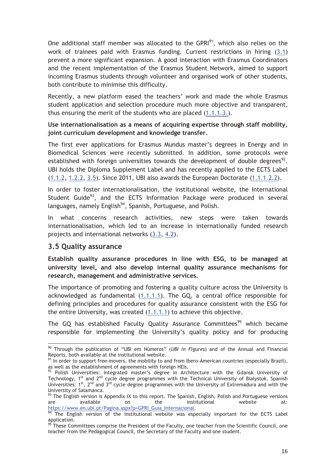One additional staff member was allocated to the GPRI $91$ , which also relies on the work of trainees paid with Erasmus funding. Current restrictions in hiring (3.1) prevent a more significant expansion. A good interaction with Erasmus Coordinators and the recent implementation of the Erasmus Student Network, aimed to support incoming Erasmus students through volunteer and organised work of other students, both contribute to minimise this difficulty.

Recently, a new platform eased the teachers' work and made the whole Erasmus student application and selection procedure much more objective and transparent, thus ensuring the merit of the students who are placed (1.1.1.3.).

**Use internationalisation as a means of acquiring expertise through staff mobility, joint curriculum development and knowledge transfer.** 

The first ever applications for Erasmus Mundus master's degrees in Energy and in Biomedical Sciences were recently submitted. In addition, some protocols were established with foreign universities towards the development of double degrees<sup>92</sup>. UBI holds the Diploma Supplement Label and has recently applied to the ECTS Label (1.1.2, 1.2.2, 3.5). Since 2011, UBI also awards the European Doctorate (1.1.1.2.2).

In order to foster internationalisation, the institutional website, the International Student Guide<sup>93</sup>, and the ECTS Information Package were produced in several languages, namely English<sup>94</sup>, Spanish, Portuguese, and Polish.

In what concerns research activities, new steps were taken towards internationalisation, which led to an increase in internationally funded research projects and international networks (3.3, 4.2).

#### **3.5 Quality assurance**

 $\overline{a}$ 

**Establish quality assurance procedures in line with ESG, to be managed at university level, and also develop internal quality assurance mechanisms for research, management and administrative services.** 

The importance of promoting and fostering a quality culture across the University is acknowledged as fundamental (1.1.1.1). The GQ, a central office responsible for defining principles and procedures for quality assurance consistent with the ESG for the entire University, was created (1.1.1.1) to achieve this objective.

The GQ has established Faculty Quality Assurance Committees<sup>95</sup> which became responsible for implementing the University's quality policy and for producing

<sup>90</sup> Through the publication of "UBI em Números" (*UBI in Figures*) and of the Annual and Financial

<sup>&</sup>lt;sup>1</sup> In order to support free-movers, the mobility to and from Ibero-American countries (especially Brazil), as well as the establishment of agreements with foreign HEIs.<br><sup>92</sup> Polish Universities: Integrated master's degree in Architecture with the Gdansk University of

Technology, 1<sup>st</sup> and 2<sup>nd</sup> cycle degree programmes with the Technical University of Bialystok. Spanish Universities:  $1^{st}$ ,  $2^{nd}$  and  $3^{rd}$  cycle degree programmes with the University of Extremadura and with the University of Salamanca.

 $93$  The English version is Appendix IX to this report. The Spanish, English, Polish and Portuguese versions are available on the institutional website at:

https://www.en.ubi.pt/Pagina.aspx?p=GPRI\_Guia\_Internacional.<br><sup>94</sup> The English version of the institutional website was especially important for the ECTS Label application.

<sup>&</sup>lt;sup>95</sup> These Committees comprise the President of the Faculty, one teacher from the Scientific Council, one teacher from the Pedagogical Council, the Secretary of the Faculty and one student.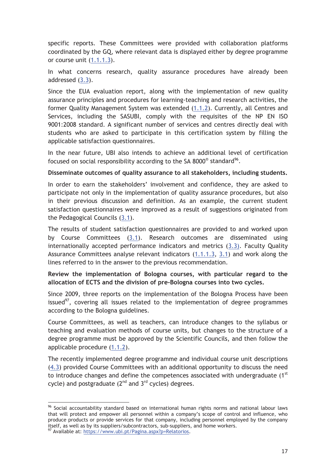specific reports. These Committees were provided with collaboration platforms coordinated by the GQ, where relevant data is displayed either by degree programme or course unit (1.1.1.3).

In what concerns research, quality assurance procedures have already been addressed (3.3).

Since the EUA evaluation report, along with the implementation of new quality assurance principles and procedures for learning-teaching and research activities, the former Quality Management System was extended (1.1.2). Currently, all Centres and Services, including the SASUBI, comply with the requisites of the NP EN ISO 9001:2008 standard. A significant number of services and centres directly deal with students who are asked to participate in this certification system by filling the applicable satisfaction questionnaires.

In the near future, UBI also intends to achieve an additional level of certification focused on social responsibility according to the SA 8000 $^{\circ}$  standard $^{\circ 6}$ .

#### **Disseminate outcomes of quality assurance to all stakeholders, including students.**

In order to earn the stakeholders' involvement and confidence, they are asked to participate not only in the implementation of quality assurance procedures, but also in their previous discussion and definition. As an example, the current student satisfaction questionnaires were improved as a result of suggestions originated from the Pedagogical Councils  $(3.1)$ .

The results of student satisfaction questionnaires are provided to and worked upon by Course Committees (3.1). Research outcomes are disseminated using internationally accepted performance indicators and metrics (3.3). Faculty Quality Assurance Committees analyse relevant indicators  $(1,1.1.3, 3.1)$  and work along the lines referred to in the answer to the previous recommendation.

#### **Review the implementation of Bologna courses, with particular regard to the allocation of ECTS and the division of pre-Bologna courses into two cycles.**

Since 2009, three reports on the implementation of the Bologna Process have been issued<sup>97</sup>, covering all issues related to the implementation of degree programmes according to the Bologna guidelines.

Course Committees, as well as teachers, can introduce changes to the syllabus or teaching and evaluation methods of course units, but changes to the structure of a degree programme must be approved by the Scientific Councils, and then follow the applicable procedure (1.1.2).

The recently implemented degree programme and individual course unit descriptions (4.3) provided Course Committees with an additional opportunity to discuss the need to introduce changes and define the competences associated with undergraduate  $(1<sup>st</sup>$ cycle) and postgraduate  $(2^{nd}$  and  $3^{rd}$  cycles) degrees.

<sup>96</sup> Social accountability standard based on international human rights norms and national labour laws that will protect and empower all personnel within a company's scope of control and influence, who produce products or provide services for that company, including personnel employed by the company itself, as well as by its suppliers/subcontractors, sub-suppliers, and home workers.<br><sup>97</sup> Available at: https<u>://www.ubi.pt/Pagina.aspx?p=Relatorios</u>.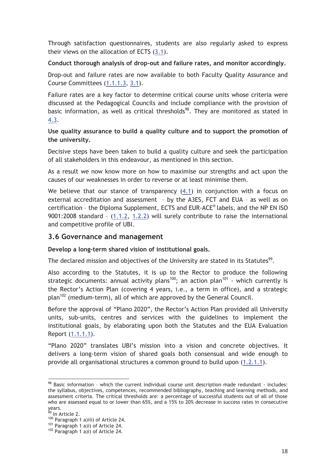Through satisfaction questionnaires, students are also regularly asked to express their views on the allocation of ECTS (3.1).

#### **Conduct thorough analysis of drop-out and failure rates, and monitor accordingly.**

Drop-out and failure rates are now available to both Faculty Quality Assurance and Course Committees (1.1.1.3, 3.1).

Failure rates are a key factor to determine critical course units whose criteria were discussed at the Pedagogical Councils and include compliance with the provision of basic information, as well as critical thresholds<sup>98</sup>. They are monitored as stated in 4.3.

**Use quality assurance to build a quality culture and to support the promotion of the university.** 

Decisive steps have been taken to build a quality culture and seek the participation of all stakeholders in this endeavour, as mentioned in this section.

As a result we now know more on how to maximise our strengths and act upon the causes of our weaknesses in order to reverse or at least minimise them.

We believe that our stance of transparency  $(4.1)$  in conjunction with a focus on external accreditation and assessment – by the A3ES, FCT and EUA – as well as on certification – the Diploma Supplement, ECTS and EUR-ACE® labels, and the NP EN ISO 9001:2008 standard – (1.1.2, 1.2.2) will surely contribute to raise the international and competitive profile of UBI.

#### **3.6 Governance and management**

**Develop a long-term shared vision of institutional goals.** 

The declared mission and objectives of the University are stated in its Statutes<sup>99</sup>.

Also according to the Statutes, it is up to the Rector to produce the following strategic documents: annual activity plans<sup>100</sup>; an action plan<sup>101</sup> - which currently is the Rector's Action Plan (covering 4 years, i.e., a term in office), and a strategic plan<sup>102</sup> (medium-term), all of which are approved by the General Council.

Before the approval of "Plano 2020", the Rector's Action Plan provided all University units, sub-units, centres and services with the guidelines to implement the institutional goals, by elaborating upon both the Statutes and the EUA Evaluation Report (1.1.1.1).

"Plano 2020" translates UBI's mission into a vision and concrete objectives. It delivers a long-term vision of shared goals both consensual and wide enough to provide all organisational structures a common ground to build upon (1.2.1.1).

 $98$  Basic information - which the current individual course unit description made redundant - includes: the syllabus, objectives, competences, recommended bibliography, teaching and learning methods, and assessment criteria. The critical thresholds are: a percentage of successful students out of all of those who are assessed equal to or lower than 65%, and a 15% to 20% decrease in success rates in consecutive years.

<sup>&</sup>lt;sup>99</sup> In Article 2.

<sup>&</sup>lt;sup>100</sup> Paragraph 1 a)iii) of Article 24.<br><sup>101</sup> Paragraph 1 a)i) of Article 24.<br><sup>102</sup> Paragraph 1 a)i) of Article 24.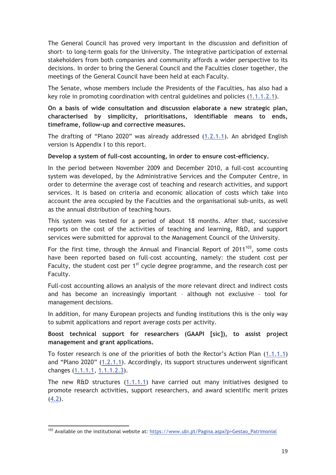The General Council has proved very important in the discussion and definition of short- to long-term goals for the University. The integrative participation of external stakeholders from both companies and community affords a wider perspective to its decisions. In order to bring the General Council and the Faculties closer together, the meetings of the General Council have been held at each Faculty.

The Senate, whose members include the Presidents of the Faculties, has also had a key role in promoting coordination with central guidelines and policies (1.1.1.2.1).

**On a basis of wide consultation and discussion elaborate a new strategic plan, characterised by simplicity, prioritisations, identifiable means to ends, timeframe, follow-up and corrective measures.** 

The drafting of "Plano 2020" was already addressed (1.2.1.1). An abridged English version is Appendix I to this report.

**Develop a system of full-cost accounting, in order to ensure cost-efficiency.** 

In the period between November 2009 and December 2010, a full-cost accounting system was developed, by the Administrative Services and the Computer Centre, in order to determine the average cost of teaching and research activities, and support services. It is based on criteria and economic allocation of costs which take into account the area occupied by the Faculties and the organisational sub-units, as well as the annual distribution of teaching hours.

This system was tested for a period of about 18 months. After that, successive reports on the cost of the activities of teaching and learning, R&D, and support services were submitted for approval to the Management Council of the University.

For the first time, through the Annual and Financial Report of  $2011^{103}$ , some costs have been reported based on full-cost accounting, namely: the student cost per Faculty, the student cost per  $1<sup>st</sup>$  cycle degree programme, and the research cost per Faculty.

Full-cost accounting allows an analysis of the more relevant direct and indirect costs and has become an increasingly important – although not exclusive – tool for management decisions.

In addition, for many European projects and funding institutions this is the only way to submit applications and report average costs per activity.

#### **Boost technical support for researchers (GAAPI [sic]), to assist project management and grant applications.**

To foster research is one of the priorities of both the Rector's Action Plan (1.1.1.1) and "Plano 2020" (1.2.1.1). Accordingly, its support structures underwent significant changes (1.1.1.1, 1.1.1.2.3).

The new R&D structures (1.1.1.1) have carried out many initiatives designed to promote research activities, support researchers, and award scientific merit prizes  $(4.2).$ 

<sup>103</sup> Available on the institutional website at: https://www.ubi.pt/Pagina.aspx?p=Gestao\_Patrimonial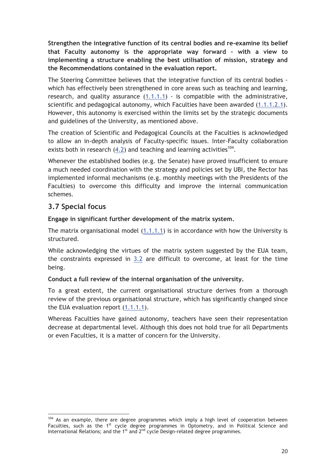**Strengthen the integrative function of its central bodies and re-examine its belief that Faculty autonomy is the appropriate way forward – with a view to implementing a structure enabling the best utilisation of mission, strategy and the Recommendations contained in the evaluation report.** 

The Steering Committee believes that the integrative function of its central bodies which has effectively been strengthened in core areas such as teaching and learning, research, and quality assurance (1.1.1.1) - is compatible with the administrative, scientific and pedagogical autonomy, which Faculties have been awarded (1.1.1.2.1). However, this autonomy is exercised within the limits set by the strategic documents and guidelines of the University, as mentioned above.

The creation of Scientific and Pedagogical Councils at the Faculties is acknowledged to allow an in-depth analysis of Faculty-specific issues. Inter-Faculty collaboration exists both in research  $(4.2)$  and teaching and learning activities<sup>104</sup>.

Whenever the established bodies (e.g. the Senate) have proved insufficient to ensure a much needed coordination with the strategy and policies set by UBI, the Rector has implemented informal mechanisms (e.g. monthly meetings with the Presidents of the Faculties) to overcome this difficulty and improve the internal communication schemes.

## **3.7 Special focus**

 $\overline{a}$ 

#### **Engage in significant further development of the matrix system.**

The matrix organisational model (1.1.1.1) is in accordance with how the University is structured.

While acknowledging the virtues of the matrix system suggested by the EUA team, the constraints expressed in  $3.2$  are difficult to overcome, at least for the time being.

#### **Conduct a full review of the internal organisation of the university.**

To a great extent, the current organisational structure derives from a thorough review of the previous organisational structure, which has significantly changed since the EUA evaluation report (1.1.1.1).

Whereas Faculties have gained autonomy, teachers have seen their representation decrease at departmental level. Although this does not hold true for all Departments or even Faculties, it is a matter of concern for the University.

 $104$  As an example, there are degree programmes which imply a high level of cooperation between Faculties, such as the 1<sup>st</sup> cycle degree programmes in Optometry, and in Political Science and International Relations; and the  $1<sup>st</sup>$  and  $2<sup>nd</sup>$  cycle Design-related degree programmes.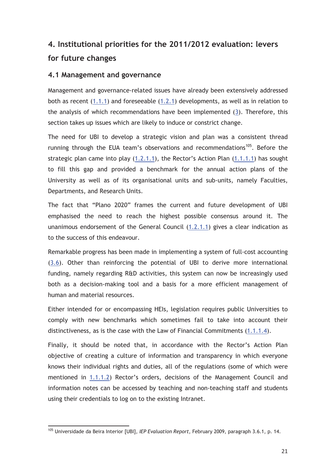# **4. Institutional priorities for the 2011/2012 evaluation: levers for future changes**

#### **4.1 Management and governance**

Management and governance-related issues have already been extensively addressed both as recent (1.1.1) and foreseeable (1.2.1) developments, as well as in relation to the analysis of which recommendations have been implemented (3). Therefore, this section takes up issues which are likely to induce or constrict change.

The need for UBI to develop a strategic vision and plan was a consistent thread running through the EUA team's observations and recommendations<sup>105</sup>. Before the strategic plan came into play (1.2.1.1), the Rector's Action Plan (1.1.1.1) has sought to fill this gap and provided a benchmark for the annual action plans of the University as well as of its organisational units and sub-units, namely Faculties, Departments, and Research Units.

The fact that "Plano 2020" frames the current and future development of UBI emphasised the need to reach the highest possible consensus around it. The unanimous endorsement of the General Council (1.2.1.1) gives a clear indication as to the success of this endeavour.

Remarkable progress has been made in implementing a system of full-cost accounting (3.6). Other than reinforcing the potential of UBI to derive more international funding, namely regarding R&D activities, this system can now be increasingly used both as a decision-making tool and a basis for a more efficient management of human and material resources.

Either intended for or encompassing HEIs, legislation requires public Universities to comply with new benchmarks which sometimes fail to take into account their distinctiveness, as is the case with the Law of Financial Commitments (1.1.1.4).

Finally, it should be noted that, in accordance with the Rector's Action Plan objective of creating a culture of information and transparency in which everyone knows their individual rights and duties, all of the regulations (some of which were mentioned in 1.1.1.2) Rector's orders, decisions of the Management Council and information notes can be accessed by teaching and non-teaching staff and students using their credentials to log on to the existing Intranet.

<sup>105</sup> Universidade da Beira Interior [UBI], *IEP Evaluation Report*, February 2009, paragraph 3.6.1, p. 14.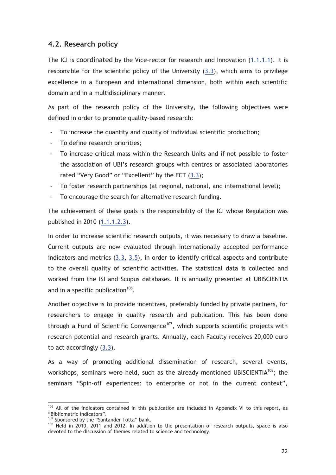#### **4.2. Research policy**

The ICI is coordinated by the Vice-rector for research and Innovation (1.1.1.1). It is responsible for the scientific policy of the University  $(3.3)$ , which aims to privilege excellence in a European and international dimension, both within each scientific domain and in a multidisciplinary manner.

As part of the research policy of the University, the following objectives were defined in order to promote quality-based research:

- To increase the quantity and quality of individual scientific production;
- To define research priorities;
- To increase critical mass within the Research Units and if not possible to foster the association of UBI's research groups with centres or associated laboratories rated "Very Good" or "Excellent" by the FCT (3.3);
- To foster research partnerships (at regional, national, and international level);
- To encourage the search for alternative research funding.

The achievement of these goals is the responsibility of the ICI whose Regulation was published in 2010 (1.1.1.2.3).

In order to increase scientific research outputs, it was necessary to draw a baseline. Current outputs are now evaluated through internationally accepted performance indicators and metrics (3.3, 3.5), in order to identify critical aspects and contribute to the overall quality of scientific activities. The statistical data is collected and worked from the ISI and Scopus databases. It is annually presented at UBISCIENTIA and in a specific publication<sup>106</sup>.

Another objective is to provide incentives, preferably funded by private partners, for researchers to engage in quality research and publication. This has been done through a Fund of Scientific Convergence<sup>107</sup>, which supports scientific projects with research potential and research grants. Annually, each Faculty receives 20,000 euro to act accordingly (3.3).

As a way of promoting additional dissemination of research, several events, workshops, seminars were held, such as the already mentioned UBISCIENTIA<sup>108</sup>; the seminars "Spin-off experiences: to enterprise or not in the current context",

<sup>106</sup> All of the indicators contained in this publication are included in Appendix VI to this report, as "Bibliometric indicators".<br><sup>107</sup> Sponsored by the "Santander Totta" bank.

 $108$  Held in 2010, 2011 and 2012. In addition to the presentation of research outputs, space is also devoted to the discussion of themes related to science and technology.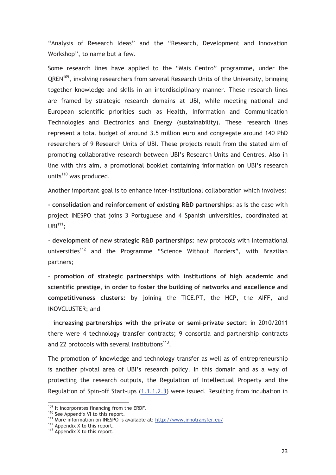"Analysis of Research Ideas" and the "Research, Development and Innovation Workshop", to name but a few.

Some research lines have applied to the "Mais Centro" programme, under the QREN<sup>109</sup>, involving researchers from several Research Units of the University, bringing together knowledge and skills in an interdisciplinary manner. These research lines are framed by strategic research domains at UBI, while meeting national and European scientific priorities such as Health, Information and Communication Technologies and Electronics and Energy (sustainability). These research lines represent a total budget of around 3.5 million euro and congregate around 140 PhD researchers of 9 Research Units of UBI. These projects result from the stated aim of promoting collaborative research between UBI's Research Units and Centres. Also in line with this aim, a promotional booklet containing information on UBI's research units $110$  was produced.

Another important goal is to enhance inter-institutional collaboration which involves:

**- consolidation and reinforcement of existing R&D partnerships**: as is the case with project INESPO that joins 3 Portuguese and 4 Spanish universities, coordinated at  $UBI<sup>111</sup>$ :

- **development of new strategic R&D partnerships:** new protocols with international universities<sup>112</sup> and the Programme "Science Without Borders", with Brazilian partners;

– **promotion of strategic partnerships with institutions of high academic and scientific prestige, in order to foster the building of networks and excellence and competitiveness clusters:** by joining the TICE.PT, the HCP, the AIFF, and INOVCLUSTER; and

– **increasing partnerships with the private or semi–private sector:** in 2010/2011 there were 4 technology transfer contracts; 9 consortia and partnership contracts and 22 protocols with several institutions $113$ .

The promotion of knowledge and technology transfer as well as of entrepreneurship is another pivotal area of UBI's research policy. In this domain and as a way of protecting the research outputs, the Regulation of Intellectual Property and the Regulation of Spin-off Start-ups (1.1.1.2.3) were issued. Resulting from incubation in

<sup>&</sup>lt;sup>109</sup> It incorporates financing from the ERDF.<br><sup>110</sup> See Appendix VI to this report.<br><sup>111</sup> More information on INESPO is available at: <u>http://www.innotransfer.eu/</u><br><sup>112</sup> Appendix X to this report.<br><sup>113</sup> Appendix X to this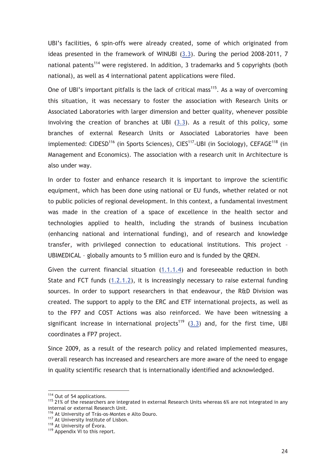UBI's facilities, 6 spin-offs were already created, some of which originated from ideas presented in the framework of WINUBI (3.3). During the period 2008-2011, 7 national patents<sup>114</sup> were registered. In addition, 3 trademarks and 5 copyrights (both national), as well as 4 international patent applications were filed.

One of UBI's important pitfalls is the lack of critical mass<sup>115</sup>. As a way of overcoming this situation, it was necessary to foster the association with Research Units or Associated Laboratories with larger dimension and better quality, whenever possible involving the creation of branches at UBI (3.3). As a result of this policy, some branches of external Research Units or Associated Laboratories have been implemented: CIDESD<sup>116</sup> (in Sports Sciences), CIES<sup>117</sup>-UBI (in Sociology), CEFAGE<sup>118</sup> (in Management and Economics). The association with a research unit in Architecture is also under way.

In order to foster and enhance research it is important to improve the scientific equipment, which has been done using national or EU funds, whether related or not to public policies of regional development. In this context, a fundamental investment was made in the creation of a space of excellence in the health sector and technologies applied to health, including the strands of business incubation (enhancing national and international funding), and of research and knowledge transfer, with privileged connection to educational institutions. This project – UBIMEDICAL – globally amounts to 5 million euro and is funded by the QREN.

Given the current financial situation (1.1.1.4) and foreseeable reduction in both State and FCT funds (1.2.1.2), it is increasingly necessary to raise external funding sources. In order to support researchers in that endeavour, the R&D Division was created. The support to apply to the ERC and ETF international projects, as well as to the FP7 and COST Actions was also reinforced. We have been witnessing a significant increase in international projects<sup>119</sup> (3.3) and, for the first time, UBI coordinates a FP7 project.

Since 2009, as a result of the research policy and related implemented measures, overall research has increased and researchers are more aware of the need to engage in quality scientific research that is internationally identified and acknowledged.

<sup>&</sup>lt;sup>114</sup> Out of 54 applications.<br><sup>115</sup> 21% of the researchers are integrated in external Research Units whereas 6% are not integrated in any internal or external Research Unit.

<sup>&</sup>lt;sup>116</sup> At University of Trás-os-Montes e Alto Douro.<br><sup>117</sup> At University Institute of Lisbon.<br><sup>118</sup> At University of Évora.<br><sup>119</sup> Appendix VI to this report.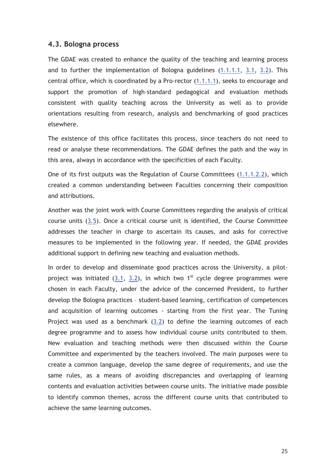#### **4.3. Bologna process**

The GDAE was created to enhance the quality of the teaching and learning process and to further the implementation of Bologna guidelines (1.1.1.1, 3.1, 3.2). This central office, which is coordinated by a Pro-rector (1.1.1.1), seeks to encourage and support the promotion of high-standard pedagogical and evaluation methods consistent with quality teaching across the University as well as to provide orientations resulting from research, analysis and benchmarking of good practices elsewhere.

The existence of this office facilitates this process, since teachers do not need to read or analyse these recommendations. The GDAE defines the path and the way in this area, always in accordance with the specificities of each Faculty.

One of its first outputs was the Regulation of Course Committees (1.1.1.2.2), which created a common understanding between Faculties concerning their composition and attributions.

Another was the joint work with Course Committees regarding the analysis of critical course units (3.5). Once a critical course unit is identified, the Course Committee addresses the teacher in charge to ascertain its causes, and asks for corrective measures to be implemented in the following year. If needed, the GDAE provides additional support in defining new teaching and evaluation methods.

In order to develop and disseminate good practices across the University, a pilotproject was initiated  $(3.1, 3.2)$ , in which two 1<sup>st</sup> cycle degree programmes were chosen in each Faculty, under the advice of the concerned President, to further develop the Bologna practices – student-based learning, certification of competences and acquisition of learning outcomes - starting from the first year. The Tuning Project was used as a benchmark (3.2) to define the learning outcomes of each degree programme and to assess how individual course units contributed to them. New evaluation and teaching methods were then discussed within the Course Committee and experimented by the teachers involved. The main purposes were to create a common language, develop the same degree of requirements, and use the same rules, as a means of avoiding discrepancies and overlapping of learning contents and evaluation activities between course units. The initiative made possible to identify common themes, across the different course units that contributed to achieve the same learning outcomes.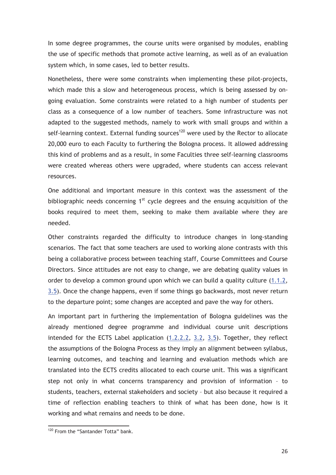In some degree programmes, the course units were organised by modules, enabling the use of specific methods that promote active learning, as well as of an evaluation system which, in some cases, led to better results.

Nonetheless, there were some constraints when implementing these pilot-projects, which made this a slow and heterogeneous process, which is being assessed by ongoing evaluation. Some constraints were related to a high number of students per class as a consequence of a low number of teachers. Some infrastructure was not adapted to the suggested methods, namely to work with small groups and within a self-learning context. External funding sources<sup>120</sup> were used by the Rector to allocate 20,000 euro to each Faculty to furthering the Bologna process. It allowed addressing this kind of problems and as a result, in some Faculties three self-learning classrooms were created whereas others were upgraded, where students can access relevant resources.

One additional and important measure in this context was the assessment of the bibliographic needs concerning  $1<sup>st</sup>$  cycle degrees and the ensuing acquisition of the books required to meet them, seeking to make them available where they are needed.

Other constraints regarded the difficulty to introduce changes in long-standing scenarios. The fact that some teachers are used to working alone contrasts with this being a collaborative process between teaching staff, Course Committees and Course Directors. Since attitudes are not easy to change, we are debating quality values in order to develop a common ground upon which we can build a quality culture (1.1.2, 3.5). Once the change happens, even if some things go backwards, most never return to the departure point; some changes are accepted and pave the way for others.

An important part in furthering the implementation of Bologna guidelines was the already mentioned degree programme and individual course unit descriptions intended for the ECTS Label application (1.2.2.2, 3.2, 3.5). Together, they reflect the assumptions of the Bologna Process as they imply an alignment between syllabus, learning outcomes, and teaching and learning and evaluation methods which are translated into the ECTS credits allocated to each course unit. This was a significant step not only in what concerns transparency and provision of information – to students, teachers, external stakeholders and society – but also because it required a time of reflection enabling teachers to think of what has been done, how is it working and what remains and needs to be done.

<sup>&</sup>lt;sup>120</sup> From the "Santander Totta" bank.